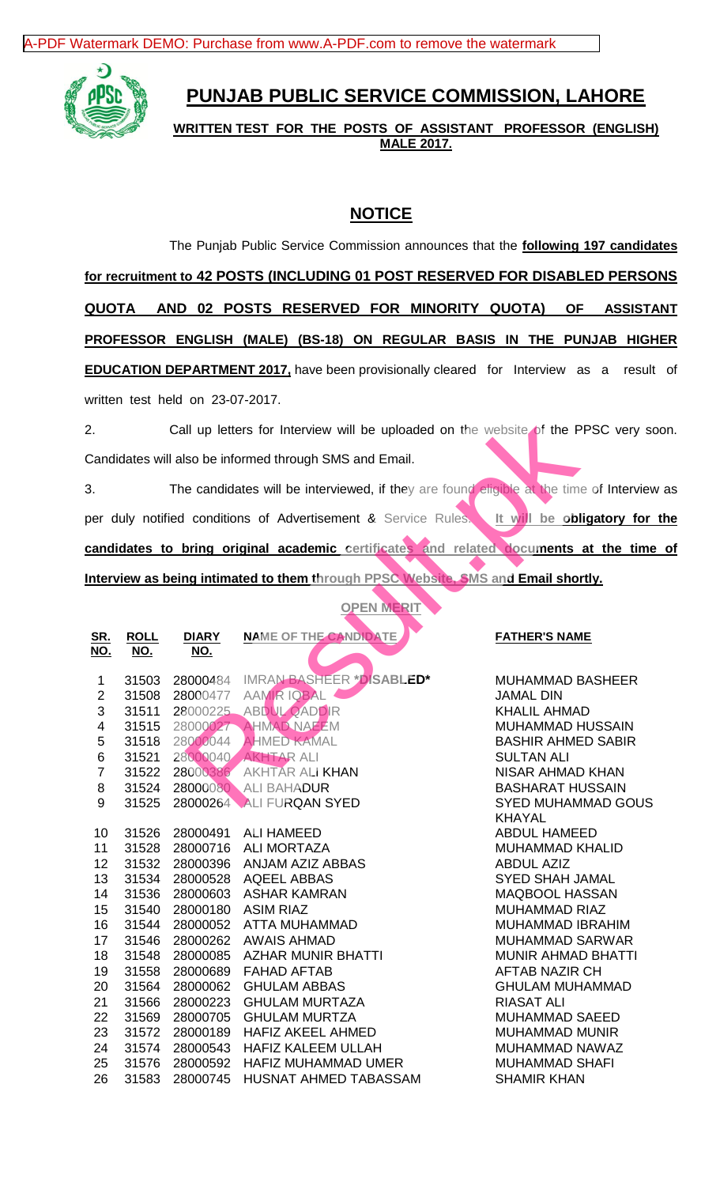[A-PDF Watermark DEMO: Purchase from www.A-PDF.com to remove the watermark](http://www.a-pdf.com/?wm-demo)



## **PUNJAB PUBLIC SERVICE COMMISSION, LAHORE**

**WRITTEN TEST FOR THE POSTS OF ASSISTANT PROFESSOR (ENGLISH) MALE 2017.**

## **NOTICE**

The Punjab Public Service Commission announces that the **following 197 candidates for recruitment to 42 POSTS (INCLUDING 01 POST RESERVED FOR DISABLED PERSONS QUOTA AND 02 POSTS RESERVED FOR MINORITY QUOTA) OF ASSISTANT PROFESSOR ENGLISH (MALE) (BS-18) ON REGULAR BASIS IN THE PUNJAB HIGHER EDUCATION DEPARTMENT 2017,** have been provisionally cleared for Interview as a result of written test held on 23-07-2017.

| Call up letters for Interview will be uploaded on the website of the PPSC very so    |                           |                            |                                                                                         |                                     |  |  |
|--------------------------------------------------------------------------------------|---------------------------|----------------------------|-----------------------------------------------------------------------------------------|-------------------------------------|--|--|
| Candidates will also be informed through SMS and Email.                              |                           |                            |                                                                                         |                                     |  |  |
|                                                                                      |                           |                            |                                                                                         |                                     |  |  |
| 3.                                                                                   |                           |                            | The candidates will be interviewed, if they are found eligible at the time of Interview |                                     |  |  |
|                                                                                      |                           |                            | ber duly notified conditions of Advertisement & Service Rules.                          | It will be obligatory for           |  |  |
| candidates to bring original academic certificates and related documents at the time |                           |                            |                                                                                         |                                     |  |  |
|                                                                                      |                           |                            | nterview as being intimated to them through PPSC Website, SMS and Email shortly.        |                                     |  |  |
|                                                                                      |                           |                            | <b>OPEN MERIT</b>                                                                       |                                     |  |  |
|                                                                                      |                           |                            |                                                                                         |                                     |  |  |
| <u>SR.</u><br><b>NO.</b>                                                             | <b>ROLL</b><br><u>NO.</u> | <b>DIARY</b><br><u>NO.</u> | <b>NAME OF THE CANDIDATE</b>                                                            | <b>FATHER'S NAME</b>                |  |  |
|                                                                                      |                           |                            |                                                                                         |                                     |  |  |
| 1                                                                                    | 31503                     | 28000484                   | IMRAN BASHEER *DISABLED*                                                                | <b>MUHAMMAD BASHEER</b>             |  |  |
| $\overline{2}$                                                                       | 31508                     | 28000477                   | <b>AAMIR IQBAL</b>                                                                      | <b>JAMAL DIN</b>                    |  |  |
| 3                                                                                    | 31511                     |                            | 28000225 ABDUL QADDIR                                                                   | <b>KHALIL AHMAD</b>                 |  |  |
| $\overline{\mathbf{4}}$                                                              | 31515                     |                            | 28000027 AHMAD NAEEM                                                                    | <b>MUHAMMAD HUSSAIN</b>             |  |  |
| 5                                                                                    | 31518                     | 28000044                   | <b>AHMED KAMAL</b>                                                                      | <b>BASHIR AHMED SABIR</b>           |  |  |
| 6                                                                                    | 31521                     | 28000040                   | <b>AKHTAR ALI</b>                                                                       | <b>SULTAN ALI</b>                   |  |  |
| $\overline{7}$                                                                       | 31522                     | 28000386                   | AKHTAR ALI KHAN                                                                         | NISAR AHMAD KHAN                    |  |  |
| 8                                                                                    | 31524                     |                            | 28000080 ALI BAHADUR                                                                    | <b>BASHARAT HUSSAIN</b>             |  |  |
| 9                                                                                    | 31525                     | 28000264                   | ALI FURQAN SYED                                                                         | SYED MUHAMMAD GOUS<br><b>KHAYAL</b> |  |  |
| 10                                                                                   | 31526                     | 28000491                   | <b>ALI HAMEED</b>                                                                       | <b>ABDUL HAMEED</b>                 |  |  |
| 11                                                                                   | 31528                     | 28000716                   | <b>ALI MORTAZA</b>                                                                      | <b>MUHAMMAD KHALID</b>              |  |  |
| 12                                                                                   | 31532                     | 28000396                   | ANJAM AZIZ ABBAS                                                                        | <b>ABDUL AZIZ</b>                   |  |  |
| 13                                                                                   | 31534                     | 28000528                   | AQEEL ABBAS                                                                             | <b>SYED SHAH JAMAL</b>              |  |  |
| 14                                                                                   | 31536                     | 28000603                   | ASHAR KAMRAN                                                                            | <b>MAQBOOL HASSAN</b>               |  |  |
| 15                                                                                   | 31540                     | 28000180                   | <b>ASIM RIAZ</b>                                                                        | <b>MUHAMMAD RIAZ</b>                |  |  |
| 16                                                                                   | 31544                     | 28000052                   | <b>ATTA MUHAMMAD</b>                                                                    | MUHAMMAD IBRAHIM                    |  |  |
| 17                                                                                   | 31546                     | 28000262                   | <b>AWAIS AHMAD</b>                                                                      | <b>MUHAMMAD SARWAR</b>              |  |  |
| 18                                                                                   | 31548                     | 28000085                   | <b>AZHAR MUNIR BHATTI</b>                                                               | <b>MUNIR AHMAD BHATTI</b>           |  |  |
| 19                                                                                   | 31558                     | 28000689                   | <b>FAHAD AFTAB</b>                                                                      | <b>AFTAB NAZIR CH</b>               |  |  |
| 20                                                                                   | 31564                     | 28000062                   | <b>GHULAM ABBAS</b>                                                                     | <b>GHULAM MUHAMMAD</b>              |  |  |
| 21                                                                                   | 31566                     | 28000223                   | <b>GHULAM MURTAZA</b>                                                                   | <b>RIASAT ALI</b>                   |  |  |
| 22                                                                                   | 31569                     | 28000705                   | <b>GHULAM MURTZA</b>                                                                    | <b>MUHAMMAD SAEED</b>               |  |  |
| 23                                                                                   | 31572                     | 28000189                   | <b>HAFIZ AKEEL AHMED</b>                                                                | <b>MUHAMMAD MUNIR</b>               |  |  |
| 24                                                                                   | 31574                     | 28000543                   | <b>HAFIZ KALEEM ULLAH</b>                                                               | MUHAMMAD NAWAZ                      |  |  |
| 25                                                                                   | 31576                     | 28000592                   | HAFIZ MUHAMMAD UMER                                                                     | <b>MUHAMMAD SHAFI</b>               |  |  |
| 26                                                                                   | 31583                     | 28000745                   | <b>HUSNAT AHMED TABASSAM</b>                                                            | <b>SHAMIR KHAN</b>                  |  |  |
|                                                                                      |                           |                            |                                                                                         |                                     |  |  |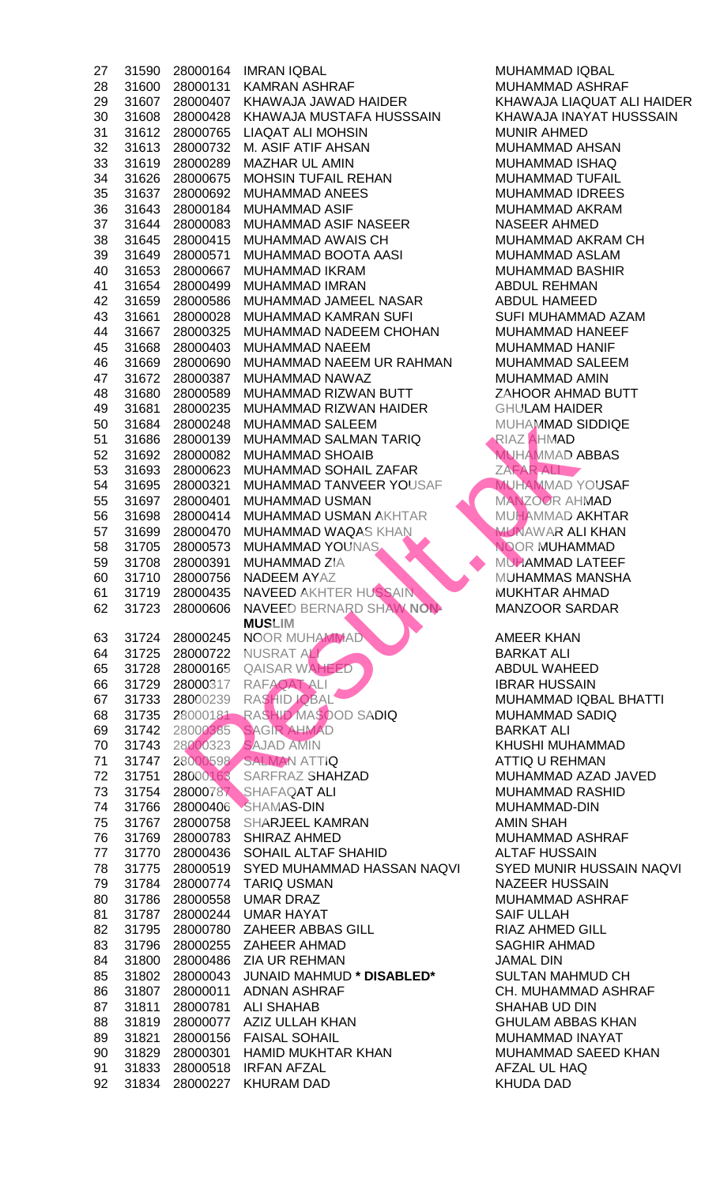| 27       | 31590          | 28000164             | <b>IMRAN IQBAL</b>                      | <b>MUHAMMAD I</b>                |
|----------|----------------|----------------------|-----------------------------------------|----------------------------------|
| 28       | 31600          | 28000131             | <b>KAMRAN ASHRAF</b>                    | <b>MUHAMMAD A</b>                |
| 29       | 31607          | 28000407             | KHAWAJA JAWAD HAIDER                    | <b>KHAWAJA LIA</b>               |
| 30       | 31608          | 28000428             | KHAWAJA MUSTAFA HUSSSAIN                | <b>KHAWAJA INA</b>               |
| 31       | 31612          | 28000765             | <b>LIAQAT ALI MOHSIN</b>                | <b>MUNIR AHMEI</b>               |
| 32       | 31613          | 28000732             | M. ASIF ATIF AHSAN                      | MUHAMMAD A                       |
| 33       | 31619          | 28000289             | <b>MAZHAR UL AMIN</b>                   | <b>MUHAMMAD I</b>                |
|          |                |                      | <b>MOHSIN TUFAIL REHAN</b>              | <b>MUHAMMAD T</b>                |
| 34       | 31626          | 28000675             |                                         |                                  |
| 35       | 31637          | 28000692             | <b>MUHAMMAD ANEES</b>                   | <b>MUHAMMAD I</b>                |
| 36       | 31643          | 28000184             | <b>MUHAMMAD ASIF</b>                    | MUHAMMAD A                       |
| 37       | 31644          | 28000083             | MUHAMMAD ASIF NASEER                    | <b>NASEER AHM</b>                |
| 38       | 31645          | 28000415             | MUHAMMAD AWAIS CH                       | MUHAMMAD A                       |
| 39       | 31649          | 28000571             | MUHAMMAD BOOTA AASI                     | MUHAMMAD A                       |
| 40       | 31653          | 28000667             | MUHAMMAD IKRAM                          | <b>MUHAMMAD E</b>                |
| 41       | 31654          | 28000499             | MUHAMMAD IMRAN                          | <b>ABDUL REHM</b>                |
| 42       | 31659          | 28000586             | MUHAMMAD JAMEEL NASAR                   | <b>ABDUL HAMEI</b>               |
| 43       | 31661          | 28000028             | MUHAMMAD KAMRAN SUFI                    | <b>SUFI MUHAMM</b>               |
| 44       | 31667          | 28000325             | MUHAMMAD NADEEM CHOHAN                  | <b>MUHAMMAD F</b>                |
| 45       | 31668          | 28000403             | MUHAMMAD NAEEM                          | <b>MUHAMMAD H</b>                |
| 46       | 31669          | 28000690             | MUHAMMAD NAEEM UR RAHMAN                | <b>MUHAMMAD S</b>                |
| 47       | 31672          | 28000387             | MUHAMMAD NAWAZ                          | MUHAMMAD A                       |
|          |                |                      |                                         |                                  |
| 48       | 31680          | 28000589             | MUHAMMAD RIZWAN BUTT                    | ZAHOOR AHM                       |
| 49       | 31681          | 28000235             | MUHAMMAD RIZWAN HAIDER                  | <b>GHULAM HAID</b>               |
| 50       | 31684          | 28000248             | MUHAMMAD SALEEM                         | MUHAMMAD S                       |
| 51       | 31686          | 28000139             | MUHAMMAD SALMAN TARIQ                   | RIAZ AHMAD                       |
| 52       | 31692          | 28000082             | <b>MUHAMMAD SHOAIB</b>                  | <b>MUHAMMAD A</b>                |
| 53       | 31693          | 28000623             | MUHAMMAD SOHAIL ZAFAR                   | ZAFAR ALI                        |
| 54       | 31695          | 28000321             | MUHAMMAD TANVEER YOUSAF                 | <b>MUHAMMADY</b>                 |
| 55       | 31697          | 28000401             | <b>MUHAMMAD USMAN</b>                   | MANZOOR AH                       |
| 56       | 31698          | 28000414             | <b>MUHAMMAD USMAN AKHTAR</b>            | <b>MUHAMMAD A</b>                |
| 57       | 31699          | 28000470             | <b>MUHAMMAD WAQAS KHAN</b>              | <b>MUNAWAR AL</b>                |
| 58       | 31705          | 28000573             | <b>MUHAMMAD YOUNAS</b>                  | NOOR MUHAN                       |
| 59       | 31708          | 28000391             | <b>MUHAMMAD ZIA</b>                     | <b>MUHAMMAD L</b>                |
| 60       | 31710          | 28000756             | <b>NADEEM AYAZ</b>                      | <b>MUHAMMAS N</b>                |
|          |                |                      |                                         |                                  |
| 61       |                |                      | 31719 28000435 NAVEED AKHTER HUSSAIN    | <b>MUKHTAR AH</b>                |
| 62       | 31723          | 28000606             | NAVEED BERNARD SHAW NON-                | <b>MANZOOR SA</b>                |
|          |                |                      | <b>MUSLIM</b>                           |                                  |
| 63       | 31724          | 28000245             | <b>NOOR MUHAMMAD</b>                    | <b>AMEER KHAN</b>                |
| 64       | 31725          | 28000722             | NUSRAT ALIZ                             | <b>BARKAT ALI</b>                |
| 65       | 31728          | 28000165             | QAISAR WAHEED                           | <b>ABDUL WAHE</b>                |
| 66       | 31729          |                      | 28000317 RAFAQAT ALI                    | <b>IBRAR HUSSA</b>               |
| 67       | 31733          |                      | 28000239 RASHID JOBAL                   | <b>MUHAMMAD I</b>                |
| 68       | 31735          |                      | 28000181 RASHID MASOOD SADIQ            | <b>MUHAMMAD S</b>                |
| 69       | 31742          | 28000385             | <b>SAGIR AHMAD</b>                      | <b>BARKAT ALI</b>                |
| 70       | 31743          | 28000323             | <b>SAJAD AMIN</b>                       | <b>KHUSHI MUHA</b>               |
| 71       | 31747          |                      | 28000598 SALMAN ATTIQ                   | <b>ATTIQ U REHN</b>              |
| 72       | 31751          | 28000163             | SARFRAZ SHAHZAD                         | MUHAMMAD A                       |
| 73       |                |                      |                                         |                                  |
| 74       |                |                      |                                         |                                  |
|          | 31754          |                      | 28000787 SHAFAQAT ALI                   | <b>MUHAMMAD F</b>                |
|          | 31766          |                      | 28000406 SHAMAS-DIN                     | MUHAMMAD-I                       |
| 75       | 31767          | 28000758             | SHARJEEL KAMRAN                         | <b>AMIN SHAH</b>                 |
| 76       | 31769          | 28000783             | SHIRAZ AHMED                            | MUHAMMAD A                       |
| 77       | 31770          | 28000436             | SOHAIL ALTAF SHAHID                     | <b>ALTAF HUSSA</b>               |
| 78       | 31775          | 28000519             | SYED MUHAMMAD HASSAN NAQVI              | <b>SYED MUNIR I</b>              |
| 79       | 31784          | 28000774             | <b>TARIQ USMAN</b>                      | <b>NAZEER HUSS</b>               |
| 80       | 31786          | 28000558             | <b>UMAR DRAZ</b>                        | MUHAMMAD A                       |
| 81       | 31787          | 28000244             | UMAR HAYAT                              | <b>SAIF ULLAH</b>                |
| 82       | 31795          | 28000780             | ZAHEER ABBAS GILL                       | RIAZ AHMED (                     |
|          |                |                      | 28000255 ZAHEER AHMAD                   | <b>SAGHIR AHMA</b>               |
| 83       | 31796          |                      | ZIA UR REHMAN                           |                                  |
| 84       | 31800          | 28000486             |                                         | <b>JAMAL DIN</b>                 |
| 85       | 31802          | 28000043             | <b>JUNAID MAHMUD * DISABLED*</b>        | <b>SULTAN MAHI</b>               |
| 86       | 31807          | 28000011             | <b>ADNAN ASHRAF</b>                     | CH. MUHAMM.                      |
| 87       | 31811          | 28000781             | <b>ALI SHAHAB</b>                       | SHAHAB UD D                      |
| 88       | 31819          | 28000077             | AZIZ ULLAH KHAN                         | <b>GHULAM ABB</b>                |
| 89       | 31821          | 28000156             | <b>FAISAL SOHAIL</b>                    | <b>MUHAMMAD I</b>                |
| 90       | 31829          | 28000301             | HAMID MUKHTAR KHAN                      | <b>MUHAMMAD S</b>                |
| 91<br>92 | 31833<br>31834 | 28000518<br>28000227 | <b>IRFAN AFZAL</b><br><b>KHURAM DAD</b> | AFZAL UL HAO<br><b>KHUDA DAD</b> |

MUHAMMAD IQBAL MUHAMMAD ASHRAF KHAWAJA LIAQUAT ALI HAIDER KHAWAJA INAYAT HUSSSAIN MUNIR AHMED MUHAMMAD AHSAN MUHAMMAD ISHAQ MUHAMMAD TUFAIL MUHAMMAD IDREES MUHAMMAD AKRAM NASEER AHMED MUHAMMAD AKRAM CH MUHAMMAD ASLAM MUHAMMAD BASHIR ABDUL REHMAN ABDUL HAMEED SUFI MUHAMMAD AZAM MUHAMMAD HANEEF MUHAMMAD HANIF MUHAMMAD SALEEM MUHAMMAD AMIN ZAHOOR AHMAD BUTT **GHULAM HAIDER** MUHAMMAD SIDDIQE RIAZ AHMAD **MUHAMMAD ABBAS** ZAFAR ALI MUHAMMAD YOUSAF MANZOOR AHMAD MUHAMMAD AKHTAR **MUNAWAR ALI KHAN** NOOR MUHAMMAD MUHAMMAD LATEEF **60 31710 31710 281710 281710 281710 281710 281710 281710 281710 281710 281710 281710 281710 281710 281710 2817 MUKHTAR AHMAD** MANZOOR SARDAR AMEER KHAN **BARKAT ALI** ABDUL WAHEED **IBRAR HUSSAIN** MUHAMMAD IQBAL BHATTI MUHAMMAD SADIQ **BARKAT ALI** KHUSHI MUHAMMAD ATTIQ U REHMAN MUHAMMAD AZAD JAVED MUHAMMAD RASHID MUHAMMAD-DIN AMIN SHAH MUHAMMAD ASHRAF ALTAF HUSSAIN SYED MUNIR HUSSAIN NAQVI NAZEER HUSSAIN MUHAMMAD ASHRAF **SAIF ULLAH RIAZ AHMED GILL** SAGHIR AHMAD **JAMAL DIN**  $SULTAN$  MAHMUD CH CH. MUHAMMAD ASHRAF SHAHAB UD DIN **GHULAM ABBAS KHAN** MUHAMMAD INAYAT MUHAMMAD SAEED KHAN AFZAL UL HAQ KHUDA DAD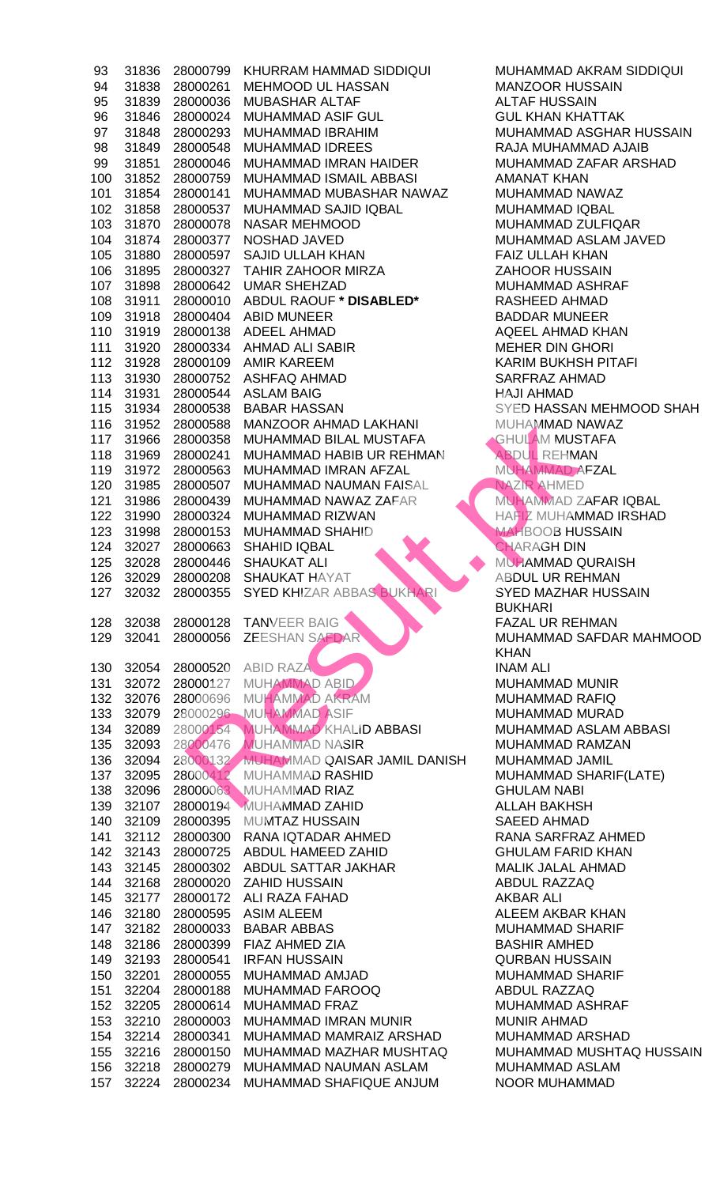|            | 31836          | 28000799             | KHURRAM HAMMAD SIDDIQUI                          | MUHAMMAD A                      |
|------------|----------------|----------------------|--------------------------------------------------|---------------------------------|
| 94         | 31838          | 28000261             | MEHMOOD UL HASSAN                                | <b>MANZOOR HU</b>               |
| 95         | 31839          | 28000036             | <b>MUBASHAR ALTAF</b>                            | <b>ALTAF HUSSA</b>              |
| 96         | 31846          | 28000024             | <b>MUHAMMAD ASIF GUL</b>                         | <b>GUL KHAN KH</b>              |
| 97         | 31848          | 28000293             | MUHAMMAD IBRAHIM                                 | MUHAMMAD A                      |
| 98         | 31849          | 28000548             | <b>MUHAMMAD IDREES</b>                           | RAJA MUHAM                      |
| 99         | 31851          | 28000046             | MUHAMMAD IMRAN HAIDER                            | <b>MUHAMMAD 2</b>               |
| 100        | 31852          | 28000759             | MUHAMMAD ISMAIL ABBASI                           | <b>AMANAT KHAI</b>              |
| 101        | 31854          | 28000141             | MUHAMMAD MUBASHAR NAWAZ                          | <b>MUHAMMAD N</b>               |
| 102        | 31858          | 28000537             | MUHAMMAD SAJID IQBAL                             | <b>MUHAMMAD I</b>               |
| 103        | 31870          | 28000078             | <b>NASAR MEHMOOD</b>                             | <b>MUHAMMAD Z</b>               |
| 104        | 31874          | 28000377             | NOSHAD JAVED                                     | MUHAMMAD A                      |
| 105        | 31880          | 28000597             | <b>SAJID ULLAH KHAN</b>                          | <b>FAIZ ULLAH K</b>             |
| 106        | 31895          |                      | 28000327 TAHIR ZAHOOR MIRZA                      | <b>ZAHOOR HUS</b>               |
| 107        | 31898          |                      | 28000642 UMAR SHEHZAD                            | MUHAMMAD A                      |
| 108        | 31911          |                      | 28000010 ABDUL RAOUF * DISABLED*                 | <b>RASHEED AHI</b>              |
| 109        | 31918          |                      | 28000404 ABID MUNEER                             | <b>BADDAR MUN</b>               |
| 110        | 31919          |                      | 28000138 ADEEL AHMAD                             | <b>AQEEL AHMAI</b>              |
| 111        | 31920          |                      | 28000334 AHMAD ALI SABIR                         | <b>MEHER DIN G</b>              |
| 112        | 31928          |                      | 28000109 AMIR KAREEM                             | <b>KARIM BUKHS</b>              |
| 113        | 31930          | 28000752             | <b>ASHFAQ AHMAD</b>                              | <b>SARFRAZ AHN</b>              |
| 114        | 31931          | 28000544             | <b>ASLAM BAIG</b>                                | <b>HAJI AHMAD</b>               |
| 115        | 31934          | 28000538             | <b>BABAR HASSAN</b>                              | <b>SYED HASSAN</b>              |
| 116        | 31952          | 28000588             | MANZOOR AHMAD LAKHANI                            | <b>MUHAMMAD N</b>               |
| 117        | 31966          | 28000358             | MUHAMMAD BILAL MUSTAFA                           | <b>GHULAM MUS</b>               |
| 118        | 31969          | 28000241             | MUHAMMAD HABIB UR REHMAN                         | <b>ABDUL REHM</b>               |
| 119        | 31972          | 28000563             | MUHAMMAD IMRAN AFZAL                             | MUHAMMAD A                      |
| 120        | 31985          | 28000507             | MUHAMMAD NAUMAN FAISAL                           | NAZIR AHMED                     |
| 121        | 31986          | 28000439             | MUHAMMAD NAWAZ ZAFAR                             | <b>MUHAMMAD Z</b>               |
| 122        | 31990          | 28000324             | MUHAMMAD RIZWAN                                  | <b>HAFIZ MUHAN</b>              |
| 123        | 31998          | 28000153             | MUHAMMAD SHAHID                                  | <b>MAHBOOB HU</b>               |
| 124        | 32027          | 28000663             | <b>SHAHID IQBAL</b>                              | <b>CHARAGH DIN</b>              |
| 125        | 32028          |                      | 28000446 SHAUKAT ALI                             | <b>MUHAMMAD C</b>               |
| 126        | 32029          |                      | 28000208 SHAUKAT HAYAT                           | <b>ABDUL UR RE</b>              |
| 127        |                |                      | 32032 28000355 SYED KHIZAR ABBAS BUKHARI         | <b>SYED MAZHAI</b>              |
|            |                |                      |                                                  | <b>BUKHARI</b>                  |
| 128        | 32038          |                      | 28000128 TANVEER BAIG                            | <b>FAZAL UR REI</b>             |
| 129        | 32041          |                      |                                                  |                                 |
|            |                |                      |                                                  |                                 |
|            |                | 28000056             | <b>ZEESHAN SAFDAR</b>                            | <b>MUHAMMAD S</b>               |
|            |                |                      |                                                  | <b>KHAN</b>                     |
| 130        | 32054          | 28000520             | <b>ABID RAZA</b>                                 | <b>INAM ALI</b>                 |
| 131        | 32072          | 28000127             | <b>MUHAMMAD ABID</b>                             | <b>MUHAMMAD N</b>               |
| 132        | 32076          | 28000696             | MUHAMMAD AKRAM                                   | <b>MUHAMMAD F</b>               |
| 133        | 32079          |                      | 28000296 MUHAMMAD ASIF                           | <b>MUHAMMAD N</b>               |
| 134        | 32089          | 28000154             | MUHAMMAD KHALID ABBASI                           | MUHAMMAD A                      |
| 135        | 32093          | 28000476             | <b>MUHAMMAD NASIR</b>                            | <b>MUHAMMAD F</b>               |
| 136        | 32094          |                      | 28000132 MUHAMMAD QAISAR JAMIL DANISH            | MUHAMMAD J                      |
| 137        | 32095          |                      | 28000412 MUHAMMAD RASHID                         | <b>MUHAMMAD S</b>               |
| 138        | 32096          |                      | 28000063 MUHAMMAD RIAZ                           | <b>GHULAM NAB</b>               |
| 139        | 32107          | 28000194             | <b>MUHAMMAD ZAHID</b>                            | <b>ALLAH BAKHS</b>              |
| 140        | 32109          | 28000395             | MUMTAZ HUSSAIN                                   | <b>SAEED AHMAI</b>              |
| 141        | 32112          | 28000300             | RANA IQTADAR AHMED                               | RANA SARFR/                     |
| 142        | 32143          | 28000725             | ABDUL HAMEED ZAHID                               | <b>GHULAM FARI</b>              |
| 143        | 32145          | 28000302             | ABDUL SATTAR JAKHAR                              | <b>MALIK JALAL</b>              |
| 144        | 32168          |                      | 28000020 ZAHID HUSSAIN                           | <b>ABDUL RAZZA</b>              |
| 145        | 32177          |                      | 28000172 ALI RAZA FAHAD                          | AKBAR ALI                       |
| 146        | 32180          | 28000595             | <b>ASIM ALEEM</b>                                | <b>ALEEM AKBAF</b>              |
| 147        | 32182          | 28000033             | <b>BABAR ABBAS</b>                               | <b>MUHAMMAD S</b>               |
| 148        | 32186          |                      | 28000399 FIAZ AHMED ZIA                          | <b>BASHIR AMHE</b>              |
| 149        | 32193          | 28000541             | <b>IRFAN HUSSAIN</b>                             | <b>QURBAN HUS</b>               |
| 150        | 32201          | 28000055             | MUHAMMAD AMJAD                                   | <b>MUHAMMAD S</b>               |
| 151        | 32204          | 28000188             | MUHAMMAD FAROOQ                                  | <b>ABDUL RAZZA</b>              |
| 152        | 32205          | 28000614             | <b>MUHAMMAD FRAZ</b>                             | MUHAMMAD A                      |
| 153        | 32210          | 28000003             | MUHAMMAD IMRAN MUNIR                             | <b>MUNIR AHMAI</b>              |
| 154        | 32214          | 28000341             | MUHAMMAD MAMRAIZ ARSHAD                          | MUHAMMAD A                      |
| 155        | 32216          | 28000150             | MUHAMMAD MAZHAR MUSHTAQ                          | <b>MUHAMMAD N</b>               |
| 156<br>157 | 32218<br>32224 | 28000279<br>28000234 | MUHAMMAD NAUMAN ASLAM<br>MUHAMMAD SHAFIQUE ANJUM | MUHAMMAD A<br><b>NOOR MUHAN</b> |

MUHAMMAD AKRAM SIDDIQUI MANZOOR HUSSAIN ALTAF HUSSAIN **GUL KHAN KHATTAK** MUHAMMAD ASGHAR HUSSAIN RAJA MUHAMMAD AJAIB MUHAMMAD ZAFAR ARSHAD AMANAT KHAN MUHAMMAD NAWAZ MUHAMMAD IQBAL MUHAMMAD ZULFIQAR MUHAMMAD ASLAM JAVED FAIZ ULLAH KHAN **ZAHOOR HUSSAIN** MUHAMMAD ASHRAF  $R$ ASHEED AHMAD BADDAR MUNEER AQEEL AHMAD KHAN **MEHER DIN GHORI** KARIM BUKHSH PITAFI SARFRAZ AHMAD HAJI AHMAD SYED HASSAN MEHMOOD SHAH MUHAMMAD NAWAZ **GHULAM MUSTAFA** ABDUL REHMAN MUHAMMAD AFZAL NAZIR AHMED MUHAMMAD ZAFAR IQBAL HAFIZ MUHAMMAD IRSHAD **MAHBOOB HUSSAIN** CHARAGH DIN MUHAMMAD QURAISH ABDUL UR REHMAN SYED MAZHAR HUSSAIN BUKHARI FAZAL UR REHMAN MUHAMMAD SAFDAR MAHMOOD KHAN **INAM ALI** MUHAMMAD MUNIR MUHAMMAD RAFIQ MUHAMMAD MURAD MUHAMMAD ASLAM ABBASI MUHAMMAD RAMZAN 136 32094 28000132 MUHAMMAD QAISAR JAMIL DANISH MUHAMMAD JAMIL MUHAMMAD SHARIF(LATE) **GHULAM NABI** ALLAH BAKHSH SAEED AHMAD RANA SARFRAZ AHMED **GHULAM FARID KHAN** MALIK JALAL AHMAD ABDUL RAZZAQ AKBAR ALI ALEEM AKBAR KHAN MUHAMMAD SHARIF BASHIR AMHED QURBAN HUSSAIN MUHAMMAD SHARIF ABDUL RAZZAQ MUHAMMAD ASHRAF MUNIR AHMAD MUHAMMAD ARSHAD MUHAMMAD MUSHTAQ HUSSAIN MUHAMMAD ASLAM NOOR MUHAMMAD